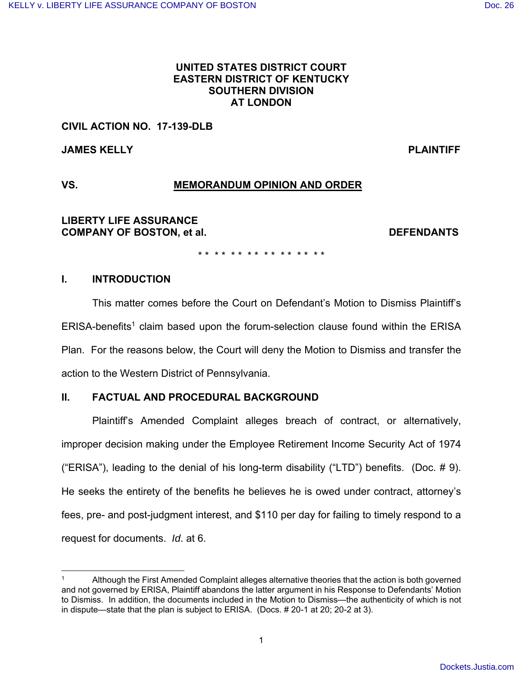## **UNITED STATES DISTRICT COURT EASTERN DISTRICT OF KENTUCKY SOUTHERN DIVISION AT LONDON**

## **CIVIL ACTION NO. 17-139-DLB**

**JAMES KELLY PLAINTIFF** 

# **VS. MEMORANDUM OPINION AND ORDER**

**LIBERTY LIFE ASSURANCE COMPANY OF BOSTON, et al. DEFENDANTS**

\* \* \* \* \* \* \* \* \* \* \* \* \* \* \* \*

## **I. INTRODUCTION**

This matter comes before the Court on Defendant's Motion to Dismiss Plaintiff's ERISA-benefits<sup>1</sup> claim based upon the forum-selection clause found within the ERISA Plan. For the reasons below, the Court will deny the Motion to Dismiss and transfer the action to the Western District of Pennsylvania.

## **II. FACTUAL AND PROCEDURAL BACKGROUND**

Plaintiff's Amended Complaint alleges breach of contract, or alternatively, improper decision making under the Employee Retirement Income Security Act of 1974 ("ERISA"), leading to the denial of his long-term disability ("LTD") benefits. (Doc. # 9). He seeks the entirety of the benefits he believes he is owed under contract, attorney's fees, pre- and post-judgment interest, and \$110 per day for failing to timely respond to a request for documents. Id. at 6.

<sup>1</sup> Although the First Amended Complaint alleges alternative theories that the action is both governed and not governed by ERISA, Plaintiff abandons the latter argument in his Response to Defendants' Motion to Dismiss. In addition, the documents included in the Motion to Dismiss—the authenticity of which is not in dispute—state that the plan is subject to ERISA. (Docs. # 20-1 at 20; 20-2 at 3).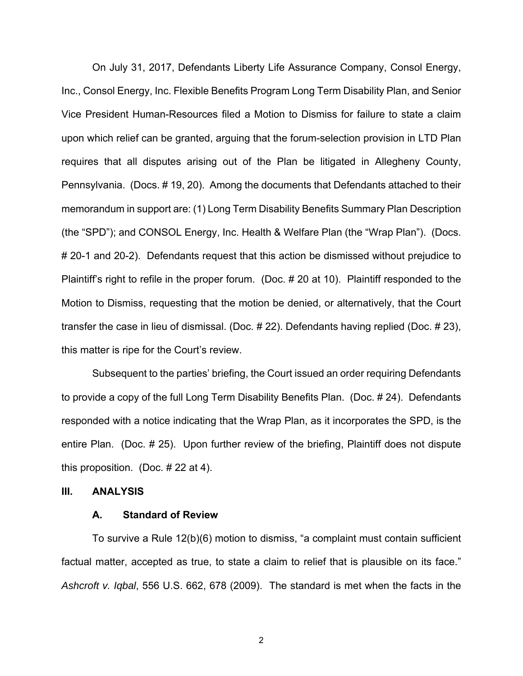On July 31, 2017, Defendants Liberty Life Assurance Company, Consol Energy, Inc., Consol Energy, Inc. Flexible Benefits Program Long Term Disability Plan, and Senior Vice President Human-Resources filed a Motion to Dismiss for failure to state a claim upon which relief can be granted, arguing that the forum-selection provision in LTD Plan requires that all disputes arising out of the Plan be litigated in Allegheny County, Pennsylvania. (Docs. # 19, 20). Among the documents that Defendants attached to their memorandum in support are: (1) Long Term Disability Benefits Summary Plan Description (the "SPD"); and CONSOL Energy, Inc. Health & Welfare Plan (the "Wrap Plan"). (Docs. # 20-1 and 20-2). Defendants request that this action be dismissed without prejudice to Plaintiff's right to refile in the proper forum. (Doc. # 20 at 10). Plaintiff responded to the Motion to Dismiss, requesting that the motion be denied, or alternatively, that the Court transfer the case in lieu of dismissal. (Doc. # 22). Defendants having replied (Doc. # 23), this matter is ripe for the Court's review.

 Subsequent to the parties' briefing, the Court issued an order requiring Defendants to provide a copy of the full Long Term Disability Benefits Plan. (Doc. # 24). Defendants responded with a notice indicating that the Wrap Plan, as it incorporates the SPD, is the entire Plan. (Doc. # 25). Upon further review of the briefing, Plaintiff does not dispute this proposition. (Doc. # 22 at 4).

## **III. ANALYSIS**

### **A. Standard of Review**

 To survive a Rule 12(b)(6) motion to dismiss, "a complaint must contain sufficient factual matter, accepted as true, to state a claim to relief that is plausible on its face." Ashcroft v. Iqbal, 556 U.S. 662, 678 (2009). The standard is met when the facts in the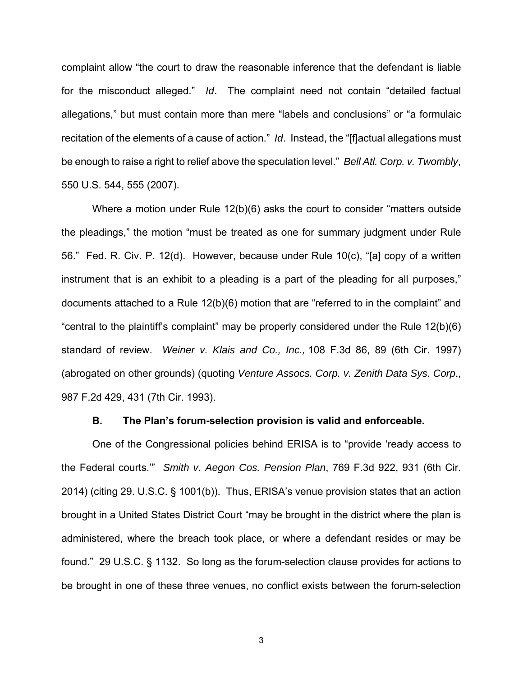complaint allow "the court to draw the reasonable inference that the defendant is liable for the misconduct alleged." Id. The complaint need not contain "detailed factual allegations," but must contain more than mere "labels and conclusions" or "a formulaic recitation of the elements of a cause of action." Id. Instead, the "[f]actual allegations must be enough to raise a right to relief above the speculation level." Bell Atl. Corp. v. Twombly, 550 U.S. 544, 555 (2007).

 Where a motion under Rule 12(b)(6) asks the court to consider "matters outside the pleadings," the motion "must be treated as one for summary judgment under Rule 56." Fed. R. Civ. P. 12(d). However, because under Rule 10(c), "[a] copy of a written instrument that is an exhibit to a pleading is a part of the pleading for all purposes," documents attached to a Rule 12(b)(6) motion that are "referred to in the complaint" and "central to the plaintiff's complaint" may be properly considered under the Rule 12(b)(6) standard of review. Weiner v. Klais and Co., Inc., 108 F.3d 86, 89 (6th Cir. 1997) (abrogated on other grounds) (quoting Venture Assocs. Corp. v. Zenith Data Sys. Corp., 987 F.2d 429, 431 (7th Cir. 1993).

## **B. The Plan's forum-selection provision is valid and enforceable.**

 One of the Congressional policies behind ERISA is to "provide 'ready access to the Federal courts.'" Smith v. Aegon Cos. Pension Plan, 769 F.3d 922, 931 (6th Cir. 2014) (citing 29. U.S.C. § 1001(b)). Thus, ERISA's venue provision states that an action brought in a United States District Court "may be brought in the district where the plan is administered, where the breach took place, or where a defendant resides or may be found." 29 U.S.C. § 1132. So long as the forum-selection clause provides for actions to be brought in one of these three venues, no conflict exists between the forum-selection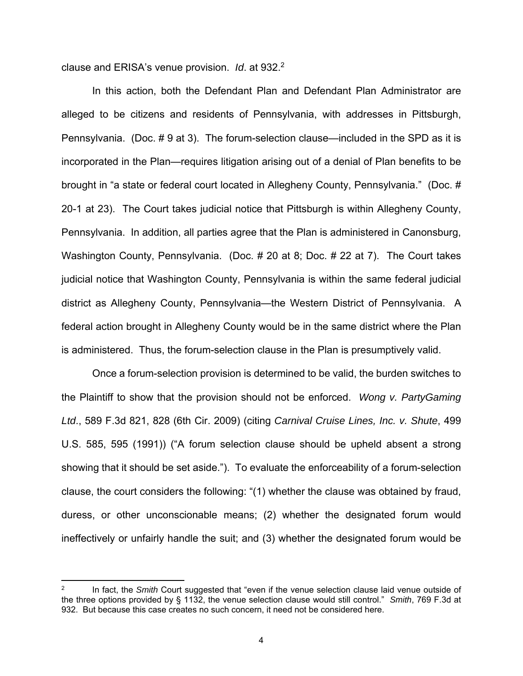clause and ERISA's venue provision. *Id.* at 932.<sup>2</sup>

 In this action, both the Defendant Plan and Defendant Plan Administrator are alleged to be citizens and residents of Pennsylvania, with addresses in Pittsburgh, Pennsylvania. (Doc. # 9 at 3). The forum-selection clause—included in the SPD as it is incorporated in the Plan—requires litigation arising out of a denial of Plan benefits to be brought in "a state or federal court located in Allegheny County, Pennsylvania." (Doc. # 20-1 at 23). The Court takes judicial notice that Pittsburgh is within Allegheny County, Pennsylvania. In addition, all parties agree that the Plan is administered in Canonsburg, Washington County, Pennsylvania. (Doc. # 20 at 8; Doc. # 22 at 7). The Court takes judicial notice that Washington County, Pennsylvania is within the same federal judicial district as Allegheny County, Pennsylvania—the Western District of Pennsylvania. A federal action brought in Allegheny County would be in the same district where the Plan is administered. Thus, the forum-selection clause in the Plan is presumptively valid.

 Once a forum-selection provision is determined to be valid, the burden switches to the Plaintiff to show that the provision should not be enforced. Wong v. PartyGaming Ltd., 589 F.3d 821, 828 (6th Cir. 2009) (citing Carnival Cruise Lines, Inc. v. Shute, 499 U.S. 585, 595 (1991)) ("A forum selection clause should be upheld absent a strong showing that it should be set aside."). To evaluate the enforceability of a forum-selection clause, the court considers the following: "(1) whether the clause was obtained by fraud, duress, or other unconscionable means; (2) whether the designated forum would ineffectively or unfairly handle the suit; and (3) whether the designated forum would be

<sup>2</sup> In fact, the Smith Court suggested that "even if the venue selection clause laid venue outside of the three options provided by § 1132, the venue selection clause would still control." Smith, 769 F.3d at 932. But because this case creates no such concern, it need not be considered here.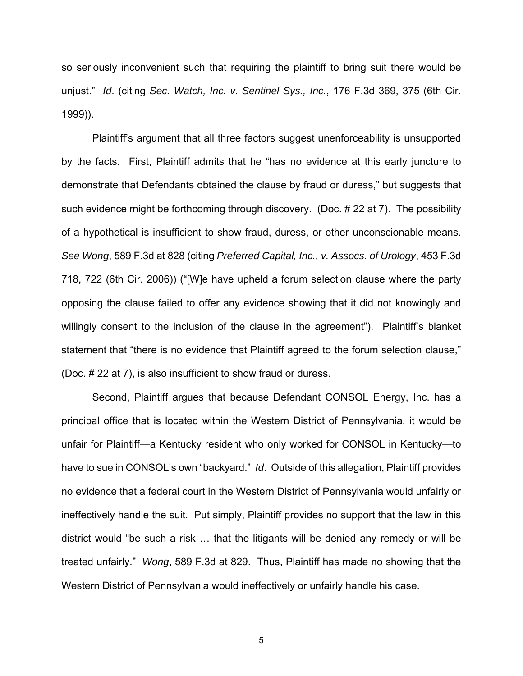so seriously inconvenient such that requiring the plaintiff to bring suit there would be unjust." Id. (citing Sec. Watch, Inc. v. Sentinel Sys., Inc., 176 F.3d 369, 375 (6th Cir. 1999)).

 Plaintiff's argument that all three factors suggest unenforceability is unsupported by the facts. First, Plaintiff admits that he "has no evidence at this early juncture to demonstrate that Defendants obtained the clause by fraud or duress," but suggests that such evidence might be forthcoming through discovery. (Doc. # 22 at 7). The possibility of a hypothetical is insufficient to show fraud, duress, or other unconscionable means. See Wong, 589 F.3d at 828 (citing Preferred Capital, Inc., v. Assocs. of Urology, 453 F.3d 718, 722 (6th Cir. 2006)) ("[W]e have upheld a forum selection clause where the party opposing the clause failed to offer any evidence showing that it did not knowingly and willingly consent to the inclusion of the clause in the agreement"). Plaintiff's blanket statement that "there is no evidence that Plaintiff agreed to the forum selection clause," (Doc. # 22 at 7), is also insufficient to show fraud or duress.

 Second, Plaintiff argues that because Defendant CONSOL Energy, Inc. has a principal office that is located within the Western District of Pennsylvania, it would be unfair for Plaintiff—a Kentucky resident who only worked for CONSOL in Kentucky—to have to sue in CONSOL's own "backyard." Id. Outside of this allegation, Plaintiff provides no evidence that a federal court in the Western District of Pennsylvania would unfairly or ineffectively handle the suit. Put simply, Plaintiff provides no support that the law in this district would "be such a risk … that the litigants will be denied any remedy or will be treated unfairly." Wong, 589 F.3d at 829. Thus, Plaintiff has made no showing that the Western District of Pennsylvania would ineffectively or unfairly handle his case.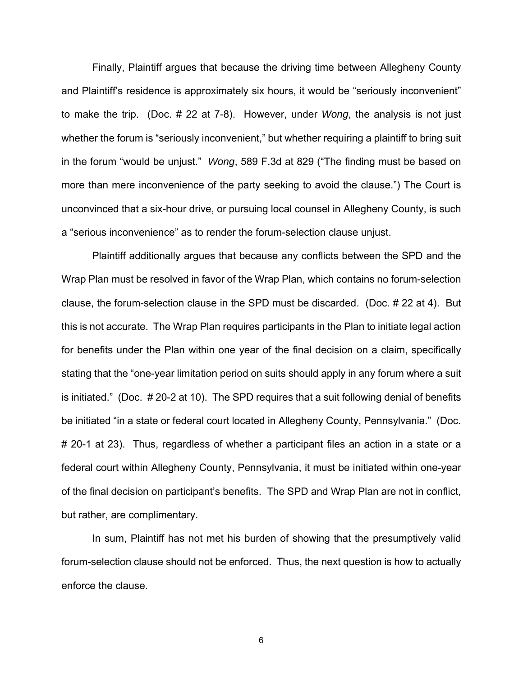Finally, Plaintiff argues that because the driving time between Allegheny County and Plaintiff's residence is approximately six hours, it would be "seriously inconvenient" to make the trip. (Doc. # 22 at 7-8). However, under Wong, the analysis is not just whether the forum is "seriously inconvenient," but whether requiring a plaintiff to bring suit in the forum "would be unjust." Wong, 589 F.3d at 829 ("The finding must be based on more than mere inconvenience of the party seeking to avoid the clause.") The Court is unconvinced that a six-hour drive, or pursuing local counsel in Allegheny County, is such a "serious inconvenience" as to render the forum-selection clause unjust.

 Plaintiff additionally argues that because any conflicts between the SPD and the Wrap Plan must be resolved in favor of the Wrap Plan, which contains no forum-selection clause, the forum-selection clause in the SPD must be discarded. (Doc. # 22 at 4). But this is not accurate. The Wrap Plan requires participants in the Plan to initiate legal action for benefits under the Plan within one year of the final decision on a claim, specifically stating that the "one-year limitation period on suits should apply in any forum where a suit is initiated." (Doc. # 20-2 at 10). The SPD requires that a suit following denial of benefits be initiated "in a state or federal court located in Allegheny County, Pennsylvania." (Doc. # 20-1 at 23). Thus, regardless of whether a participant files an action in a state or a federal court within Allegheny County, Pennsylvania, it must be initiated within one-year of the final decision on participant's benefits. The SPD and Wrap Plan are not in conflict, but rather, are complimentary.

 In sum, Plaintiff has not met his burden of showing that the presumptively valid forum-selection clause should not be enforced. Thus, the next question is how to actually enforce the clause.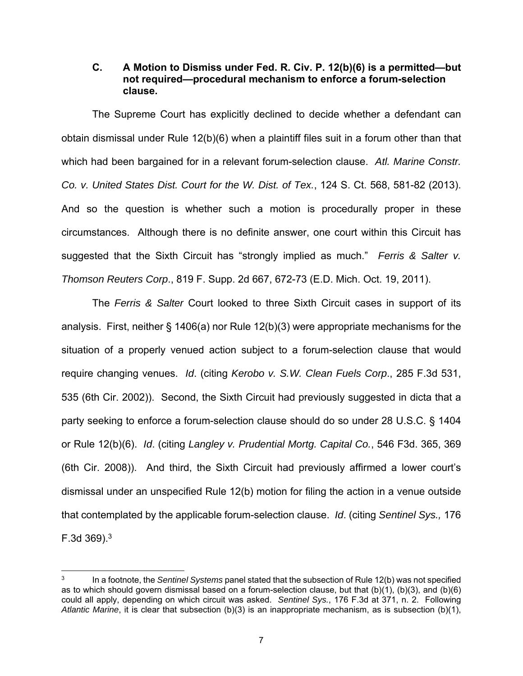## **C. A Motion to Dismiss under Fed. R. Civ. P. 12(b)(6) is a permitted—but not required—procedural mechanism to enforce a forum-selection clause.**

The Supreme Court has explicitly declined to decide whether a defendant can obtain dismissal under Rule 12(b)(6) when a plaintiff files suit in a forum other than that which had been bargained for in a relevant forum-selection clause. Atl. Marine Constr. Co. v. United States Dist. Court for the W. Dist. of Tex., 124 S. Ct. 568, 581-82 (2013). And so the question is whether such a motion is procedurally proper in these circumstances. Although there is no definite answer, one court within this Circuit has suggested that the Sixth Circuit has "strongly implied as much." Ferris & Salter v. Thomson Reuters Corp., 819 F. Supp. 2d 667, 672-73 (E.D. Mich. Oct. 19, 2011).

The Ferris & Salter Court looked to three Sixth Circuit cases in support of its analysis. First, neither § 1406(a) nor Rule 12(b)(3) were appropriate mechanisms for the situation of a properly venued action subject to a forum-selection clause that would require changing venues. Id. (citing Kerobo v. S.W. Clean Fuels Corp., 285 F.3d 531, 535 (6th Cir. 2002)). Second, the Sixth Circuit had previously suggested in dicta that a party seeking to enforce a forum-selection clause should do so under 28 U.S.C. § 1404 or Rule 12(b)(6). Id. (citing Langley v. Prudential Mortg. Capital Co., 546 F3d. 365, 369 (6th Cir. 2008)). And third, the Sixth Circuit had previously affirmed a lower court's dismissal under an unspecified Rule 12(b) motion for filing the action in a venue outside that contemplated by the applicable forum-selection clause. Id. (citing Sentinel Sys., 176 F.3d  $369$ <sup>3</sup>

<sup>3</sup> In a footnote, the Sentinel Systems panel stated that the subsection of Rule 12(b) was not specified as to which should govern dismissal based on a forum-selection clause, but that (b)(1), (b)(3), and (b)(6) could all apply, depending on which circuit was asked. Sentinel Sys., 176 F.3d at 371, n. 2. Following Atlantic Marine, it is clear that subsection (b)(3) is an inappropriate mechanism, as is subsection (b)(1),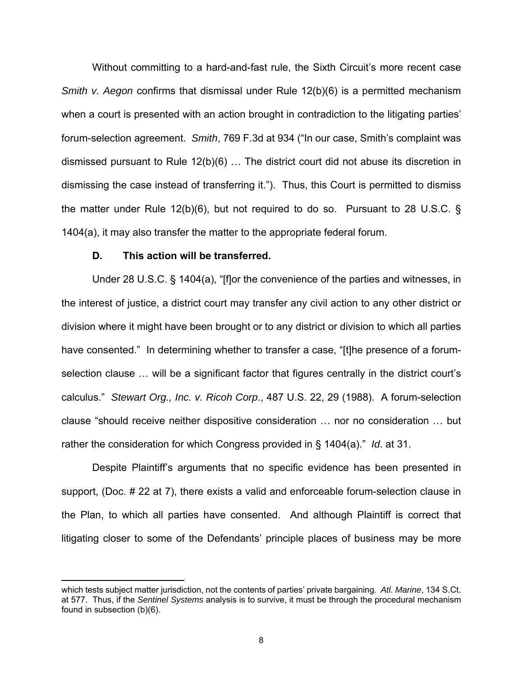Without committing to a hard-and-fast rule, the Sixth Circuit's more recent case Smith v. Aegon confirms that dismissal under Rule 12(b)(6) is a permitted mechanism when a court is presented with an action brought in contradiction to the litigating parties' forum-selection agreement. Smith, 769 F.3d at 934 ("In our case, Smith's complaint was dismissed pursuant to Rule 12(b)(6) … The district court did not abuse its discretion in dismissing the case instead of transferring it."). Thus, this Court is permitted to dismiss the matter under Rule 12(b)(6), but not required to do so. Pursuant to 28 U.S.C. § 1404(a), it may also transfer the matter to the appropriate federal forum.

## **D. This action will be transferred.**

<u> 1989 - Johann Stein, fransk politik (d. 1989)</u>

Under 28 U.S.C. § 1404(a), "[f]or the convenience of the parties and witnesses, in the interest of justice, a district court may transfer any civil action to any other district or division where it might have been brought or to any district or division to which all parties have consented." In determining whether to transfer a case, "[t]he presence of a forumselection clause … will be a significant factor that figures centrally in the district court's calculus." Stewart Org., Inc. v. Ricoh Corp., 487 U.S. 22, 29 (1988). A forum-selection clause "should receive neither dispositive consideration … nor no consideration … but rather the consideration for which Congress provided in § 1404(a)." Id. at 31.

 Despite Plaintiff's arguments that no specific evidence has been presented in support, (Doc. # 22 at 7), there exists a valid and enforceable forum-selection clause in the Plan, to which all parties have consented. And although Plaintiff is correct that litigating closer to some of the Defendants' principle places of business may be more

which tests subject matter jurisdiction, not the contents of parties' private bargaining. Atl. Marine, 134 S.Ct. at 577. Thus, if the Sentinel Systems analysis is to survive, it must be through the procedural mechanism found in subsection (b)(6).